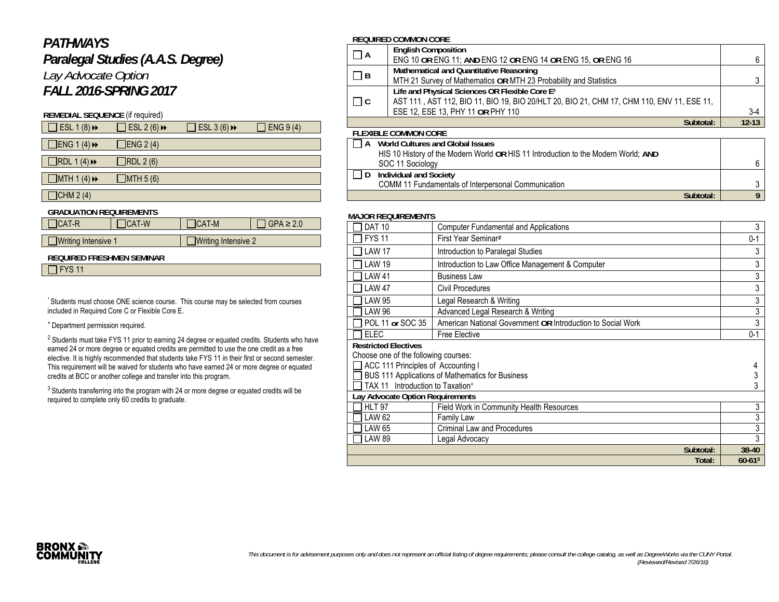## *PATHWAYS*

# *Paralegal Studies (A.A.S. Degree) Lay Advocate Option FALL 2016-SPRING 2017*

## **REMEDIAL SEQUENCE** (if required)

| $\Box$ ESL 1 (8) $\leftrightarrow$ | $\exists$ ESL 2 (6) $\leftrightarrow$ | $\overline{\phantom{a}}$ ESL 3 (6) $\rightarrow$ | $\overline{)}$ ENG 9 (4) |
|------------------------------------|---------------------------------------|--------------------------------------------------|--------------------------|
| $\Box$ ENG 1 (4) $\rightarrow$     | $\Box$ ENG 2(4)                       |                                                  |                          |
| $\Box$ RDL 1(4) $\rightarrow$      | $\neg$ RDL 2 (6)                      |                                                  |                          |
| MTH1(4)                            | $\Box$ MTH 5 (6)                      |                                                  |                          |
| $\Box$                             |                                       |                                                  |                          |

#### $\Box$ CHM 2 (4)

## **GRADUATION REQUIREMENTS**

| $\Box$ CAT-R               | $ICAT-W$ | $ICAT-M$            | $\Box$ GPA $\geq 2.0$ |
|----------------------------|----------|---------------------|-----------------------|
|                            |          |                     |                       |
| $\Box$ Writing Intensive 1 |          | Writing Intensive 2 |                       |

#### **REQUIRED FRESHMEN SEMINAR**

 $\Box$  FYS 11

<sup>1</sup> Students must choose ONE science course. This course may be selected from courses included in Required Core C or Flexible Core E.

#### + Department permission required.

 $2$  Students must take FYS 11 prior to earning 24 degree or equated credits. Students who have earned 24 or more degree or equated credits are permitted to use the one credit as a free elective. It is highly recommended that students take FYS 11 in their first or second semester. This requirement will be waived for students who have earned 24 or more degree or equated credits at BCC or another college and transfer into this program.

<sup>3</sup> Students transferring into the program with 24 or more degree or equated credits will be required to complete only 60 credits to graduate.

### **REQUIRED COMMON CORE**

|          | <b>English Composition</b>                                                                |           |
|----------|-------------------------------------------------------------------------------------------|-----------|
| $\Box$ A | ENG 10 OR ENG 11; AND ENG 12 OR ENG 14 OR ENG 15, OR ENG 16                               | 6         |
| $\Box$ B | Mathematical and Quantitative Reasoning                                                   |           |
|          | MTH 21 Survey of Mathematics OR MTH 23 Probability and Statistics                         |           |
|          | Life and Physical Sciences OR Flexible Core E <sup>1</sup>                                |           |
| $\Box$ C | AST 111, AST 112, BIO 11, BIO 19, BIO 20/HLT 20, BIO 21, CHM 17, CHM 110, ENV 11, ESE 11, |           |
|          | ESE 12, ESE 13, PHY 11 OR PHY 110                                                         | $3-4$     |
|          | Subtotal:                                                                                 | $12 - 13$ |
|          |                                                                                           |           |

#### **FLEXIBLE COMMON CORE**

| World Cultures and Global Issues<br>HIS 10 History of the Modern World OR HIS 11 Introduction to the Modern World; AND |  |
|------------------------------------------------------------------------------------------------------------------------|--|
|                                                                                                                        |  |
| SOC 11 Sociology                                                                                                       |  |
| <b>Individual and Society</b>                                                                                          |  |
| COMM 11 Fundamentals of Interpersonal Communication                                                                    |  |
| Subtotal:                                                                                                              |  |

#### **MAJOR REQUIREMENTS**

| <b>DAT 10</b>                                | <b>Computer Fundamental and Applications</b>                | 3           |
|----------------------------------------------|-------------------------------------------------------------|-------------|
| <b>FYS 11</b>                                | First Year Seminar <sup>2</sup>                             | $0 - 1$     |
| <b>LAW 17</b>                                | Introduction to Paralegal Studies                           | 3           |
| <b>LAW 19</b>                                | Introduction to Law Office Management & Computer            | 3           |
| <b>LAW 41</b>                                | <b>Business Law</b>                                         | 3           |
| <b>LAW 47</b>                                | Civil Procedures                                            | 3           |
| LAW 95                                       | Legal Research & Writing                                    | 3           |
| <b>LAW 96</b>                                | Advanced Legal Research & Writing                           | 3           |
| POL 11 or SOC 35                             | American National Government OR Introduction to Social Work | 3           |
| <b>ELEC</b>                                  | Free Elective                                               | $0 - 1$     |
| <b>Restricted Electives</b>                  |                                                             |             |
| Choose one of the following courses:         |                                                             |             |
| ACC 111 Principles of Accounting I           |                                                             |             |
|                                              | BUS 111 Applications of Mathematics for Business            |             |
| TAX 11 Introduction to Taxation <sup>+</sup> |                                                             |             |
| Lay Advocate Option Requirements             |                                                             |             |
| <b>HLT 97</b>                                | Field Work in Community Health Resources                    | 3           |
| LAW 62                                       | Family Law                                                  | 3           |
| <b>LAW 65</b>                                | <b>Criminal Law and Procedures</b>                          | 3           |
| <b>LAW 89</b>                                | Legal Advocacy                                              | 3           |
|                                              | Subtotal:                                                   | 38-40       |
|                                              | Total:                                                      | $60-61^{3}$ |